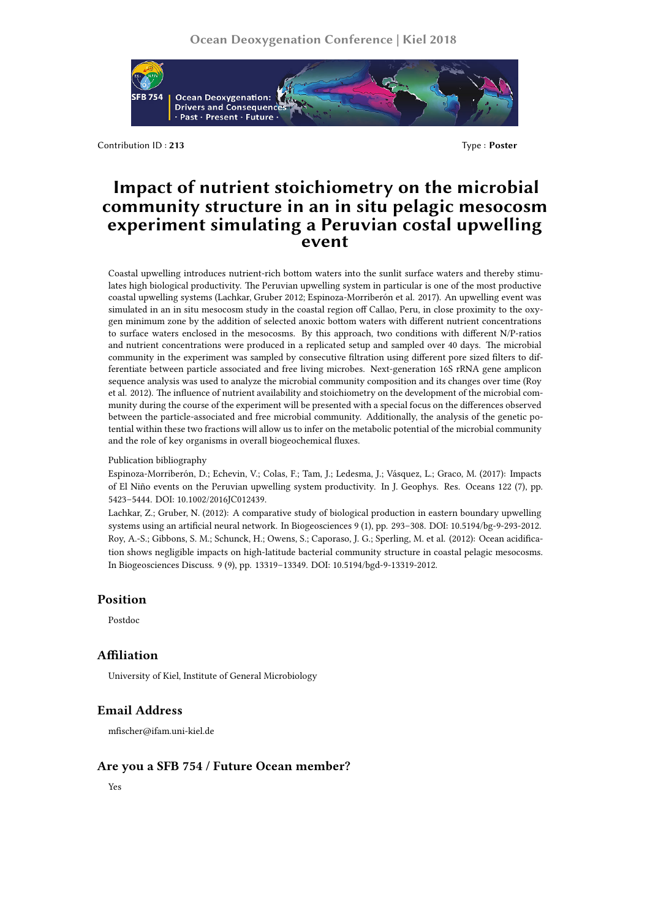

Contribution ID : **213** Type : **Poster**

# **Impact of nutrient stoichiometry on the microbial community structure in an in situ pelagic mesocosm experiment simulating a Peruvian costal upwelling event**

Coastal upwelling introduces nutrient-rich bottom waters into the sunlit surface waters and thereby stimulates high biological productivity. The Peruvian upwelling system in particular is one of the most productive coastal upwelling systems (Lachkar, Gruber 2012; Espinoza-Morriberón et al. 2017). An upwelling event was simulated in an in situ mesocosm study in the coastal region off Callao, Peru, in close proximity to the oxygen minimum zone by the addition of selected anoxic bottom waters with different nutrient concentrations to surface waters enclosed in the mesocosms. By this approach, two conditions with different N/P-ratios and nutrient concentrations were produced in a replicated setup and sampled over 40 days. The microbial community in the experiment was sampled by consecutive filtration using different pore sized filters to differentiate between particle associated and free living microbes. Next-generation 16S rRNA gene amplicon sequence analysis was used to analyze the microbial community composition and its changes over time (Roy et al. 2012). The influence of nutrient availability and stoichiometry on the development of the microbial community during the course of the experiment will be presented with a special focus on the differences observed between the particle-associated and free microbial community. Additionally, the analysis of the genetic potential within these two fractions will allow us to infer on the metabolic potential of the microbial community and the role of key organisms in overall biogeochemical fluxes.

Publication bibliography

Espinoza-Morriberón, D.; Echevin, V.; Colas, F.; Tam, J.; Ledesma, J.; Vásquez, L.; Graco, M. (2017): Impacts of El Niño events on the Peruvian upwelling system productivity. In J. Geophys. Res. Oceans 122 (7), pp. 5423–5444. DOI: 10.1002/2016JC012439.

Lachkar, Z.; Gruber, N. (2012): A comparative study of biological production in eastern boundary upwelling systems using an artificial neural network. In Biogeosciences 9 (1), pp. 293–308. DOI: 10.5194/bg-9-293-2012. Roy, A.-S.; Gibbons, S. M.; Schunck, H.; Owens, S.; Caporaso, J. G.; Sperling, M. et al. (2012): Ocean acidification shows negligible impacts on high-latitude bacterial community structure in coastal pelagic mesocosms. In Biogeosciences Discuss. 9 (9), pp. 13319–13349. DOI: 10.5194/bgd-9-13319-2012.

#### **Position**

Postdoc

### **Affiliation**

University of Kiel, Institute of General Microbiology

## **Email Address**

mfischer@ifam.uni-kiel.de

## **Are you a SFB 754 / Future Ocean member?**

Yes